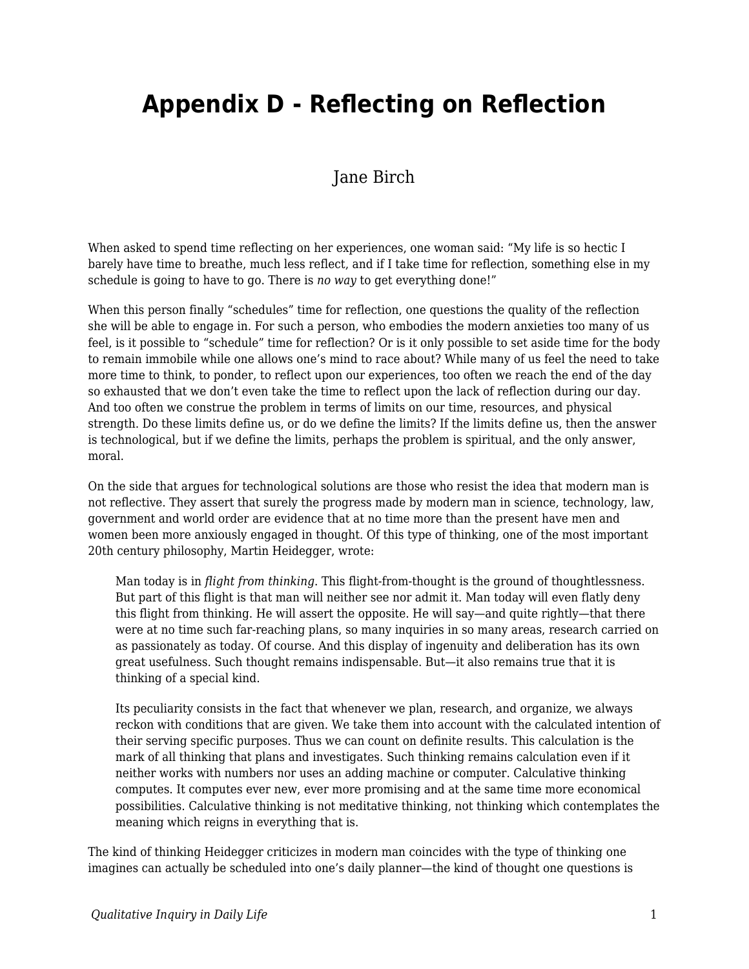## **Appendix D - Reflecting on Reflection**

## Jane Birch

When asked to spend time reflecting on her experiences, one woman said: "My life is so hectic I barely have time to breathe, much less reflect, and if I take time for reflection, something else in my schedule is going to have to go. There is *no way* to get everything done!"

When this person finally "schedules" time for reflection, one questions the quality of the reflection she will be able to engage in. For such a person, who embodies the modern anxieties too many of us feel, is it possible to "schedule" time for reflection? Or is it only possible to set aside time for the body to remain immobile while one allows one's mind to race about? While many of us feel the need to take more time to think, to ponder, to reflect upon our experiences, too often we reach the end of the day so exhausted that we don't even take the time to reflect upon the lack of reflection during our day. And too often we construe the problem in terms of limits on our time, resources, and physical strength. Do these limits define us, or do we define the limits? If the limits define us, then the answer is technological, but if we define the limits, perhaps the problem is spiritual, and the only answer, moral.

On the side that argues for technological solutions are those who resist the idea that modern man is not reflective. They assert that surely the progress made by modern man in science, technology, law, government and world order are evidence that at no time more than the present have men and women been more anxiously engaged in thought. Of this type of thinking, one of the most important 20th century philosophy, Martin Heidegger, wrote:

Man today is in *flight from thinking*. This flight-from-thought is the ground of thoughtlessness. But part of this flight is that man will neither see nor admit it. Man today will even flatly deny this flight from thinking. He will assert the opposite. He will say—and quite rightly—that there were at no time such far-reaching plans, so many inquiries in so many areas, research carried on as passionately as today. Of course. And this display of ingenuity and deliberation has its own great usefulness. Such thought remains indispensable. But—it also remains true that it is thinking of a special kind.

Its peculiarity consists in the fact that whenever we plan, research, and organize, we always reckon with conditions that are given. We take them into account with the calculated intention of their serving specific purposes. Thus we can count on definite results. This calculation is the mark of all thinking that plans and investigates. Such thinking remains calculation even if it neither works with numbers nor uses an adding machine or computer. Calculative thinking computes. It computes ever new, ever more promising and at the same time more economical possibilities. Calculative thinking is not meditative thinking, not thinking which contemplates the meaning which reigns in everything that is.

The kind of thinking Heidegger criticizes in modern man coincides with the type of thinking one imagines can actually be scheduled into one's daily planner—the kind of thought one questions is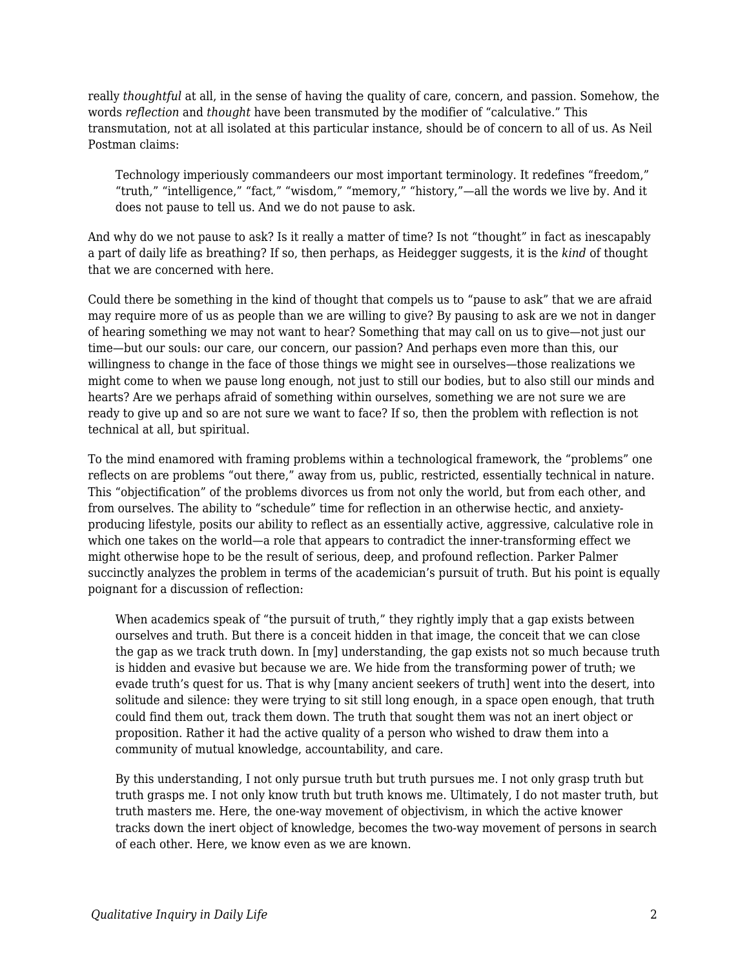really *thoughtful* at all, in the sense of having the quality of care, concern, and passion. Somehow, the words *reflection* and *thought* have been transmuted by the modifier of "calculative." This transmutation, not at all isolated at this particular instance, should be of concern to all of us. As Neil Postman claims:

Technology imperiously commandeers our most important terminology. It redefines "freedom," "truth," "intelligence," "fact," "wisdom," "memory," "history,"—all the words we live by. And it does not pause to tell us. And we do not pause to ask.

And why do we not pause to ask? Is it really a matter of time? Is not "thought" in fact as inescapably a part of daily life as breathing? If so, then perhaps, as Heidegger suggests, it is the *kind* of thought that we are concerned with here.

Could there be something in the kind of thought that compels us to "pause to ask" that we are afraid may require more of us as people than we are willing to give? By pausing to ask are we not in danger of hearing something we may not want to hear? Something that may call on us to give—not just our time—but our souls: our care, our concern, our passion? And perhaps even more than this, our willingness to change in the face of those things we might see in ourselves—those realizations we might come to when we pause long enough, not just to still our bodies, but to also still our minds and hearts? Are we perhaps afraid of something within ourselves, something we are not sure we are ready to give up and so are not sure we want to face? If so, then the problem with reflection is not technical at all, but spiritual.

To the mind enamored with framing problems within a technological framework, the "problems" one reflects on are problems "out there," away from us, public, restricted, essentially technical in nature. This "objectification" of the problems divorces us from not only the world, but from each other, and from ourselves. The ability to "schedule" time for reflection in an otherwise hectic, and anxietyproducing lifestyle, posits our ability to reflect as an essentially active, aggressive, calculative role in which one takes on the world—a role that appears to contradict the inner-transforming effect we might otherwise hope to be the result of serious, deep, and profound reflection. Parker Palmer succinctly analyzes the problem in terms of the academician's pursuit of truth. But his point is equally poignant for a discussion of reflection:

When academics speak of "the pursuit of truth," they rightly imply that a gap exists between ourselves and truth. But there is a conceit hidden in that image, the conceit that we can close the gap as we track truth down. In [my] understanding, the gap exists not so much because truth is hidden and evasive but because we are. We hide from the transforming power of truth; we evade truth's quest for us. That is why [many ancient seekers of truth] went into the desert, into solitude and silence: they were trying to sit still long enough, in a space open enough, that truth could find them out, track them down. The truth that sought them was not an inert object or proposition. Rather it had the active quality of a person who wished to draw them into a community of mutual knowledge, accountability, and care.

By this understanding, I not only pursue truth but truth pursues me. I not only grasp truth but truth grasps me. I not only know truth but truth knows me. Ultimately, I do not master truth, but truth masters me. Here, the one-way movement of objectivism, in which the active knower tracks down the inert object of knowledge, becomes the two-way movement of persons in search of each other. Here, we know even as we are known.